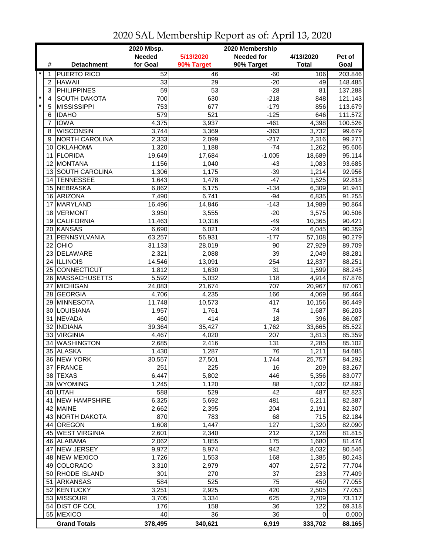|         |                 |                       | 2020 Mbsp.      |                  | 2020 Membership   |              |                  |
|---------|-----------------|-----------------------|-----------------|------------------|-------------------|--------------|------------------|
|         |                 |                       | <b>Needed</b>   | 5/13/2020        | <b>Needed for</b> | 4/13/2020    | Pct of           |
|         | #               | <b>Detachment</b>     | for Goal        | 90% Target       | 90% Target        | <b>Total</b> | Goal             |
| $\star$ | 1               | <b>PUERTO RICO</b>    | 52              | 46               | $-60$             | 106          | 203.846          |
|         | $\overline{c}$  | <b>HAWAII</b>         | 33              | 29               | $-20$             | 49           | 148.485          |
|         | 3               | <b>PHILIPPINES</b>    | $\overline{59}$ | $\overline{53}$  | $-28$             | 81           | 137.288          |
| $\star$ | 4               | <b>SOUTH DAKOTA</b>   | 700             | 630              | $-218$            | 848          | 121.143          |
|         | 5               | <b>MISSISSIPPI</b>    | 753             | 677              | $-179$            | 856          | 113.679          |
|         | 6               | <b>IDAHO</b>          | 579             | $\overline{521}$ | $-125$            | 646          | 111.572          |
|         | 7               | <b>IOWA</b>           | 4,375           | 3,937            | $-461$            | 4,398        | 100.526          |
|         | 8               | <b>WISCONSIN</b>      | 3,744           | 3,369            | $-363$            | 3,732        | 99.679           |
|         | 9               | <b>NORTH CAROLINA</b> | 2,333           | 2,099            | $-217$            | 2,316        | 99.271           |
|         | 10              | <b>OKLAHOMA</b>       | 1,320           | 1,188            | $-74$             | 1,262        | 95.606           |
|         | 11              | <b>FLORIDA</b>        | 19,649          | 17,684           | $-1,005$          | 18,689       | 95.114           |
|         | 12 <sup>2</sup> | MONTANA               | 1,156           | 1,040            | $-43$             | 1,083        | 93.685           |
|         |                 | 13 SOUTH CAROLINA     | 1,306           | 1,175            | $-39$             | 1,214        | 92.956           |
|         | 14              | <b>TENNESSEE</b>      | 1,643           | 1,478            | $-47$             | 1,525        | 92.818           |
|         | 15              | NEBRASKA              | 6,862           | 6,175            | $-134$            | 6,309        | 91.941           |
|         |                 | 16 ARIZONA            |                 |                  |                   |              | 91.255           |
|         |                 | <b>MARYLAND</b>       | 7,490           | 6,741            | $-94$             | 6,835        |                  |
|         | 17              | <b>VERMONT</b>        | 16,496          | 14,846           | $-143$            | 14,989       | 90.864<br>90.506 |
|         | 18              |                       | 3,950           | 3,555            | $-20$             | 3,575        |                  |
|         | 19              | <b>CALIFORNIA</b>     | 11,463          | 10,316           | $-49$             | 10,365       | 90.421           |
|         |                 | 20 KANSAS             | 6,690           | 6,021            | $-24$             | 6,045        | 90.359           |
|         | 21              | PENNSYLVANIA          | 63,257          | 56,931           | $-177$            | 57,108       | 90.279           |
|         |                 | $22$ OHIO             | 31,133          | 28,019           | 90                | 27,929       | 89.709           |
|         |                 | 23 DELAWARE           | 2,321           | 2,088            | $\overline{39}$   | 2,049        | 88.281           |
|         |                 | 24 ILLINOIS           | 14,546          | 13,091           | 254               | 12,837       | 88.251           |
|         |                 | 25 CONNECTICUT        | 1,812           | 1,630            | 31                | 1,599        | 88.245           |
|         |                 | 26 MASSACHUSETTS      | 5,592           | 5,032            | 118               | 4,914        | 87.876           |
|         | 27              | <b>MICHIGAN</b>       | 24,083          | 21,674           | 707               | 20,967       | 87.061           |
|         |                 | 28 GEORGIA            | 4,706           | 4,235            | 166               | 4,069        | 86.464           |
|         | 29              | MINNESOTA             | 11,748          | 10,573           | 417               | 10,156       | 86.449           |
|         |                 | 30 LOUISIANA          | 1,957           | 1,761            | 74                | 1,687        | 86.203           |
|         | 31              | NEVADA                | 460             | 414              | 18                | 396          | 86.087           |
|         |                 | 32   INDIANA          | 39,364          | 35,427           | 1,762             | 33,665       | 85.522           |
|         |                 | 33 VIRGINIA           | 4,467           | 4,020            | 207               | 3,813        | 85.359           |
|         | 34              | <b>WASHINGTON</b>     | 2,685           | 2,416            | 131               | 2,285        | 85.102           |
|         |                 | 35 ALASKA             | 1,430           | 1,287            | 76                | 1,211        | 84.685           |
|         |                 | 36 NEW YORK           | 30,557          | 27,501           | 1,744             | 25,757       | 84.292           |
|         |                 | 37 FRANCE             | 251             | 225              | 16                | 209          | 83.267           |
|         |                 | 38 TEXAS              | 6,447           | 5,802            | 446               | 5,356        | 83.077           |
|         |                 | 39 WYOMING            | 1,245           | 1,120            | 88                | 1,032        | 82.892           |
|         |                 | 40 UTAH               | 588             | 529              | 42                | 487          | 82.823           |
|         |                 | 41 NEW HAMPSHIRE      | 6,325           | 5,692            | 481               | 5,211        | 82.387           |
|         |                 | 42 MAINE              | 2,662           | 2,395            | 204               | 2,191        | 82.307           |
|         |                 | 43 NORTH DAKOTA       | 870             | 783              | 68                | 715          | 82.184           |
|         |                 | 44 OREGON             | 1,608           | 1,447            | 127               | 1,320        | 82.090           |
|         |                 | 45 WEST VIRGINIA      | 2,601           | 2,340            | 212               | 2,128        | 81.815           |
|         |                 | 46 ALABAMA            | 2,062           | 1,855            | 175               | 1,680        | 81.474           |
|         | 47              | <b>NEW JERSEY</b>     | 9,972           | 8,974            | 942               | 8,032        | 80.546           |
|         |                 | 48 NEW MEXICO         | 1,726           | 1,553            | 168               | 1,385        | 80.243           |
|         |                 | 49 COLORADO           | 3,310           | 2,979            | 407               | 2,572        | 77.704           |
|         |                 | 50 RHODE ISLAND       | 301             | 270              | 37                | 233          | 77.409           |
|         | 51              | <b>ARKANSAS</b>       | 584             | 525              | 75                | 450          | 77.055           |
|         |                 | 52 KENTUCKY           | 3,251           | 2,925            | 420               | 2,505        | 77.053           |
|         |                 | 53 MISSOURI           | 3,705           | 3,334            | 625               | 2,709        | 73.117           |
|         |                 | 54 DIST OF COL        | 176             | 158              | 36                | 122          | 69.318           |
|         |                 | 55 MEXICO             | 40              | 36               | 36                | 0            | 0.000            |
|         |                 | <b>Grand Totals</b>   | 378,495         | 340,621          | 6,919             | 333,702      | 88.165           |

2020 SAL Membership Report as of: April 13, 2020